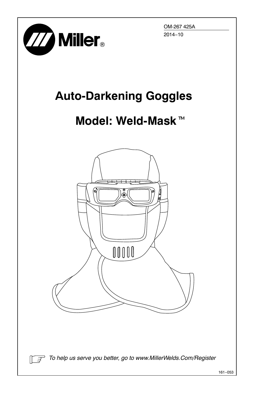

OM-267 425A 2014−10

## **Auto-Darkening Goggles**

## **Model: Weld-Mask**-



*To help us serve you better, go to www.MillerWelds.Com/Register*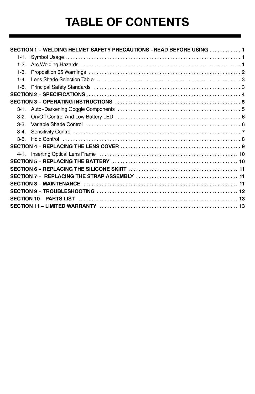# **TABLE OF CONTENTS**

|         | SECTION 1 - WELDING HELMET SAFETY PRECAUTIONS -READ BEFORE USING  1                                                                                                                                                           |  |
|---------|-------------------------------------------------------------------------------------------------------------------------------------------------------------------------------------------------------------------------------|--|
| $1-1.$  |                                                                                                                                                                                                                               |  |
| $1-2.$  |                                                                                                                                                                                                                               |  |
| $1-3.$  |                                                                                                                                                                                                                               |  |
| $1 - 4$ |                                                                                                                                                                                                                               |  |
| $1-5.$  |                                                                                                                                                                                                                               |  |
|         |                                                                                                                                                                                                                               |  |
|         |                                                                                                                                                                                                                               |  |
| $3-1.$  |                                                                                                                                                                                                                               |  |
| $3-2$   |                                                                                                                                                                                                                               |  |
| $3-3.$  | Variable Shade Control (and the control of the control of the control of the control of the state of the control of the control of the Shade Shade Control of the control of the control of the Shade Shade Shade Shade Shade |  |
| $3-4.$  |                                                                                                                                                                                                                               |  |
| $3-5$ . |                                                                                                                                                                                                                               |  |
|         |                                                                                                                                                                                                                               |  |
|         |                                                                                                                                                                                                                               |  |
|         |                                                                                                                                                                                                                               |  |
|         |                                                                                                                                                                                                                               |  |
|         |                                                                                                                                                                                                                               |  |
|         |                                                                                                                                                                                                                               |  |
|         |                                                                                                                                                                                                                               |  |
|         |                                                                                                                                                                                                                               |  |
|         |                                                                                                                                                                                                                               |  |
|         |                                                                                                                                                                                                                               |  |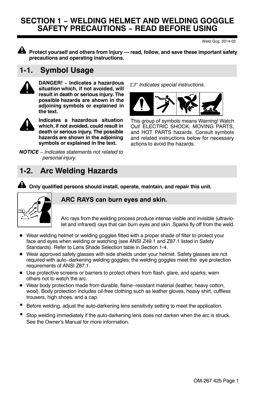### **SECTION 1 − WELDING HELMET AND WELDING GOGGLE SAFETY PRECAUTIONS − READ BEFORE USING**

Weld Gog. 2014-02

**Protect yourself and others from injury — read, follow, and save these important safety precautions and operating instructions.**

## **1-1. Symbol Usage**



DANGER! - Indicates a hazardous **situation which, if not avoided, will result in death or serious injury. The possible hazards are shown in the adjoining symbols or explained in the text.**



**Indicates a hazardous situation which, if not avoided, could result in death or serious injury. The possible hazards are shown in the adjoining symbols or explained in the text.**

*NOTICE* − *Indicates statements not related to personal injury.*

*Indicates special instructions.* **− Indicates a hazardous**



This group of symbols means Warning! Watch Out! ELECTRIC SHOCK, MOVING PARTS, and HOT PARTS hazards. Consult symbols and related instructions below for necessary actions to avoid the hazards.

## **1-2. Arc Welding Hazards**



#### **Only qualified persons should install, operate, maintain, and repair this unit.**

#### **ARC RAYS can burn eyes and skin.**

Arc rays from the welding process produce intense visible and invisible (ultraviolet and infrared) rays that can burn eyes and skin. Sparks fly off from the weld.

- Wear welding helmet or welding goggles fitted with a proper shade of filter to protect your face and eyes when welding or watching (see ANSI Z49.1 and Z87.1 listed in Safety Standards). Refer to Lens Shade Selection table in Section [1-4.](#page-4-0)
- Wear approved safety glasses with side shields under your helmet. Safety glasses are not required with auto−darkening welding goggles; the welding goggles meet the eye protection requirements of ANSI Z87.1.
- Use protective screens or barriers to protect others from flash, glare, and sparks; warn others not to watch the arc.
- Wear body protection made from durable, flame−resistant material (leather, heavy cotton, wool). Body protection includes oil-free clothing such as leather gloves, heavy shirt, cuffless trousers, high shoes, and a cap.
- Before welding, adjust the auto-darkening lens sensitivity setting to meet the application.
- Stop welding immediately if the auto-darkening lens does not darken when the arc is struck. See the Owner's Manual for more information.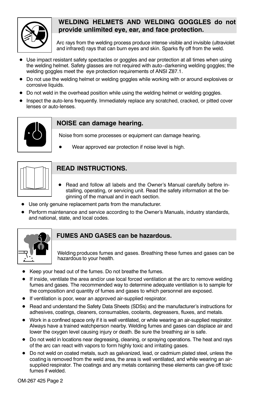

#### **WELDING HELMETS AND WELDING GOGGLES do not provide unlimited eye, ear, and face protection.**

Arc rays from the welding process produce intense visible and invisible (ultraviolet and infrared) rays that can burn eyes and skin. Sparks fly off from the weld.

- Use impact resistant safety spectacles or goggles and ear protection at all times when using the welding helmet. Safety glasses are not required with auto−darkening welding goggles; the welding goggles meet the eye protection requirements of ANSI Z87.1.
- Do not use the welding helmet or welding goggles while working with or around explosives or corrosive liquids.
- $\bullet$  Do not weld in the overhead position while using the welding helmet or welding goggles.
- Inspect the auto-lens frequently. Immediately replace any scratched, cracked, or pitted cover lenses or auto-lenses.



#### **NOISE can damage hearing.**

Noise from some processes or equipment can damage hearing.

Wear approved ear protection if noise level is high.



#### **READ INSTRUCTIONS.**

- Read and follow all labels and the Owner's Manual carefully before installing, operating, or servicing unit. Read the safety information at the beginning of the manual and in each section.
- Use only genuine replacement parts from the manufacturer.
- Perform maintenance and service according to the Owner's Manuals, industry standards, and national, state, and local codes.



#### **FUMES AND GASES can be hazardous.**

Welding produces fumes and gases. Breathing these fumes and gases can be hazardous to your health.

- Keep your head out of the fumes. Do not breathe the fumes.
- If inside, ventilate the area and/or use local forced ventilation at the arc to remove welding fumes and gases. The recommended way to determine adequate ventilation is to sample for the composition and quantity of fumes and gases to which personnel are exposed.
- If ventilation is poor, wear an approved air-supplied respirator.
- Read and understand the Safety Data Sheets (SDSs) and the manufacturer's instructions for adhesives, coatings, cleaners, consumables, coolants, degreasers, fluxes, and metals.
- Work in a confined space only if it is well ventilated, or while wearing an air-supplied respirator. Always have a trained watchperson nearby. Welding fumes and gases can displace air and lower the oxygen level causing injury or death. Be sure the breathing air is safe.
- Do not weld in locations near degreasing, cleaning, or spraying operations. The heat and rays of the arc can react with vapors to form highly toxic and irritating gases.
- Do not weld on coated metals, such as galvanized, lead, or cadmium plated steel, unless the coating is removed from the weld area, the area is well ventilated, and while wearing an airsupplied respirator. The coatings and any metals containing these elements can give off toxic fumes if welded.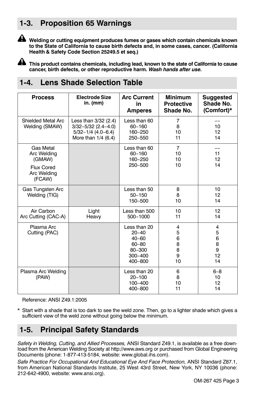## <span id="page-4-0"></span>**1-3. Proposition 65 Warnings**



**Welding or cutting equipment produces fumes or gases which contain chemicals known to the State of California to cause birth defects and, in some cases, cancer. (California Health & Safety Code Section 25249.5 et seq.)**

**This product contains chemicals, including lead, known to the state of California to cause cancer, birth defects, or other reproductive harm.** *Wash hands after use.*

## **1-4. Lens Shade Selection Table**

| <b>Process</b>                                                                   | Electrode Size<br>in. (mm)                                                                         | <b>Arc Current</b><br>in<br><b>Amperes</b>                                              | <b>Minimum</b><br><b>Protective</b><br>Shade No. | <b>Suggested</b><br>Shade No.<br>(Comfort)*    |
|----------------------------------------------------------------------------------|----------------------------------------------------------------------------------------------------|-----------------------------------------------------------------------------------------|--------------------------------------------------|------------------------------------------------|
| Shielded Metal Arc<br>Welding (SMAW)                                             | Less than 3/32 (2.4)<br>$3/32 - 5/32$ (2.4-4.0)<br>$5/32 - 1/4$ (4.0-6.4)<br>More than $1/4$ (6.4) | Less than 60<br>$60 - 160$<br>160-250<br>250-550                                        | $\overline{7}$<br>8<br>10<br>11                  | 10<br>12<br>14                                 |
| Gas Metal<br>Arc Welding<br>(GMAW)<br><b>Flux Cored</b><br>Arc Welding<br>(FCAW) |                                                                                                    | Less than 60<br>$60 - 160$<br>160-250<br>250-500                                        | $\overline{7}$<br>10<br>10<br>10                 | 11<br>12<br>14                                 |
| Gas Tungsten Arc<br>Welding (TIG)                                                |                                                                                                    | Less than 50<br>$50 - 150$<br>150-500                                                   | 8<br>8<br>10                                     | 10<br>12<br>14                                 |
| Air Carbon<br>Arc Cutting (CAC-A)                                                | Light<br>Heavy                                                                                     | Less than 500<br>500-1000                                                               | 10<br>11                                         | 12<br>14                                       |
| Plasma Arc<br>Cutting (PAC)                                                      |                                                                                                    | Less than 20<br>$20 - 40$<br>$40 - 60$<br>$60 - 80$<br>80-300<br>$300 - 400$<br>400-800 | 4<br>5<br>6<br>8<br>8<br>9<br>10                 | $\overline{4}$<br>5<br>6<br>8<br>9<br>12<br>14 |
| Plasma Arc Welding<br>(PAW)                                                      |                                                                                                    | Less than 20<br>$20 - 100$<br>$100 - 400$<br>400-800                                    | 6<br>8<br>10<br>11                               | $6 - 8$<br>10<br>12<br>14                      |

Reference: ANSI Z49.1:2005

\* Start with a shade that is too dark to see the weld zone. Then, go to a lighter shade which gives a sufficient view of the weld zone without going below the minimum.

## **1-5. Principal Safety Standards**

*Safety in Welding, Cutting, and Allied Processes,* ANSI Standard Z49.1, is available as a free download from the American Welding Society at http://www.aws.org or purchased from Global Engineering Documents (phone: 1-877-413-5184, website: www.global.ihs.com).

*Safe Practice For Occupational And Educational Eye And Face Protection,* ANSI Standard Z87.1, from American National Standards Institute, 25 West 43rd Street, New York, NY 10036 (phone: 212-642-4900, website: www.ansi.org).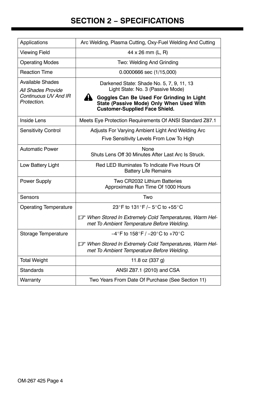## **SECTION 2 − SPECIFICATIONS**

<span id="page-5-0"></span>

| Applications                                  | Arc Welding, Plasma Cutting, Oxy-Fuel Welding And Cutting                                                                            |  |
|-----------------------------------------------|--------------------------------------------------------------------------------------------------------------------------------------|--|
| <b>Viewing Field</b>                          | $44 \times 26$ mm (L, R)                                                                                                             |  |
| <b>Operating Modes</b>                        | Two: Welding And Grinding                                                                                                            |  |
| <b>Reaction Time</b>                          | 0.0000666 sec (1/15,000)                                                                                                             |  |
| <b>Available Shades</b><br>All Shades Provide | Darkened State: Shade No. 5, 7, 9, 11, 13<br>Light State: No. 3 (Passive Mode)                                                       |  |
| Continuous UV And IR<br>Protection.           | A.<br>Goggles Can Be Used For Grinding In Light<br>State (Passive Mode) Only When Used With<br><b>Customer-Supplied Face Shield.</b> |  |
| Inside Lens                                   | Meets Eye Protection Requirements Of ANSI Standard Z87.1                                                                             |  |
| Sensitivity Control                           | Adjusts For Varying Ambient Light And Welding Arc                                                                                    |  |
|                                               | Five Sensitivity Levels From Low To High                                                                                             |  |
| <b>Automatic Power</b>                        | None<br>Shuts Lens Off 30 Minutes After Last Arc Is Struck.                                                                          |  |
| Low Battery Light                             | Red LED Illuminates To Indicate Five Hours Of<br><b>Battery Life Remains</b>                                                         |  |
| Power Supply                                  | Two CR2032 Lithium Batteries<br>Approximate Run Time Of 1000 Hours                                                                   |  |
| Sensors                                       | Two                                                                                                                                  |  |
| <b>Operating Temperature</b>                  | 23°F to 131°F /- 5°C to +55°C                                                                                                        |  |
|                                               | T When Stored In Extremely Cold Temperatures, Warm Hel-<br>met To Ambient Temperature Before Welding.                                |  |
| Storage Temperature                           | $-4^{\circ}$ F to 158 $^{\circ}$ F / -20 $^{\circ}$ C to +70 $^{\circ}$ C                                                            |  |
|                                               | T When Stored In Extremely Cold Temperatures, Warm Hel-<br>met To Ambient Temperature Before Welding.                                |  |
| <b>Total Weight</b>                           | 11.8 oz (337 g)                                                                                                                      |  |
| <b>Standards</b>                              | ANSI Z87.1 (2010) and CSA                                                                                                            |  |
| Warranty                                      | Two Years From Date Of Purchase (See Section 11)                                                                                     |  |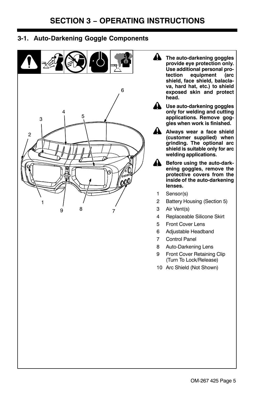### **3-1. Auto-Darkening Goggle Components**



- **! The auto-darkening goggles provide eye protection only. Use additional personal proequipment shield, face shield, balaclava, hard hat, etc.) to shield exposed skin and protect head.**
	- **! Use auto-darkening goggles only for welding and cutting applications. Remove goggles when work is finished.**
	- **! Always wear a face shield (customer supplied) when grinding. The optional arc shield is suitable only for arc welding applications.**
	- **! Before using the auto-darkening goggles, remove the protective covers from the inside of the auto-darkening lenses.**
	- 1 Sensor(s)
	- 2 Battery Housing (Section [5](#page-11-0))
	- 3 Air Vent(s)
	- 4 Replaceable Silicone Skirt
	- 5 Front Cover Lens
	- 6 Adjustable Headband
	- 7 Control Panel
	- 8 Auto-Darkening Lens
	- 9 Front Cover Retaining Clip (Turn To Lock/Release)
	- 10 Arc Shield (Not Shown)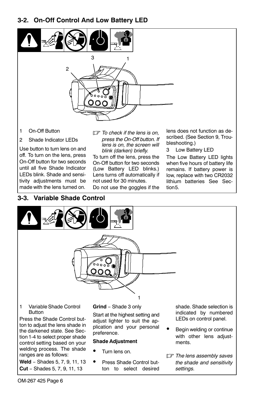#### <span id="page-7-0"></span>**3-2. On-Off Control And Low Battery LED**



- 1 On-Off Button
- 2 Shade Indicator LEDs

Use button to turn lens on and off. To turn on the lens, press On-Off button for two seconds until all five Shade Indicator LEDs blink. Shade and sensitivity adjustments must be made with the lens turned on.

#### **3-3. Variable Shade Control**

- *To check if the lens is on, press the On-Off button. If lens is on, the screen will blink (darken) briefly.*

To turn off the lens, press the On-Off button for two seconds (Low Battery LED blinks.) Lens turns off automatically if not used for 30 minutes.

Do not use the goggles if the

lens does not function as described. (See Section [9](#page-13-0), Troubleshooting.)

3 Low Battery LED

The Low Battery LED lights when five hours of battery life remains. If battery power is low, replace with two CR2032 lithium batteries See Section[5](#page-11-0).



- Begin welding or continue with other lens adjustments.
- *The lens assembly saves the shade and sensitivity settings.*

OM-267 425 Page 6

tion [1-4](#page-4-0) to select proper shade control setting based on your welding process. The shade ranges are as follows: **Weld** − Shades 5, 7, 9, 11, 13 **Cut** − Shades 5, 7, 9, 11, 13

preference.

#### **Shade Adjustment**

- Turn lens on.
- Press Shade Control button to select desired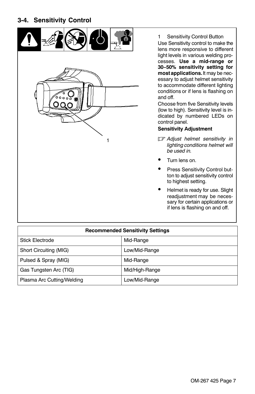#### <span id="page-8-0"></span>**3-4. Sensitivity Control**



1 Sensitivity Control Button Use Sensitivity control to make the lens more responsive to different light levels in various welding processes. **Use a mid-range or 30−50% sensitivity setting for mostapplications.** It may be necessary to adjust helmet sensitivity to accommodate different lighting conditions or if lens is flashing on and off.

Choose from five Sensitivity levels (low to high). Sensitivity level is indicated by numbered LEDs on control panel.

#### **Sensitivity Adjustment**

- *Adjust helmet sensitivity in lighting conditions helmet will be used in.*
- Turn lens on.
- Press Sensitivity Control button to adjust sensitivity control to highest setting.
- Helmet is ready for use. Slight readjustment may be necessary for certain applications or if lens is flashing on and off.

| <b>Recommended Sensitivity Settings</b> |                |  |
|-----------------------------------------|----------------|--|
| <b>Stick Electrode</b>                  | Mid-Range      |  |
| Short Circuiting (MIG)                  | Low/Mid-Range  |  |
| Pulsed & Spray (MIG)                    | Mid-Range      |  |
| Gas Tungsten Arc (TIG)                  | Mid/High-Range |  |
| Plasma Arc Cutting/Welding              | Low/Mid-Range  |  |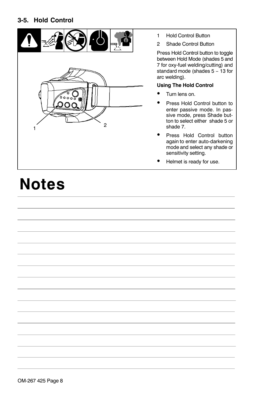#### **3-5. Hold Control**



- 1 Hold Control Button
- 2 Shade Control Button

Press Hold Control button to toggle between Hold Mode (shades 5 and 7 for oxy-fuel welding/cutting) and standard mode (shades 5 − 13 for arc welding).

#### **Using The Hold Control**

- Turn lens on.
- Press Hold Control button to enter passive mode. In passive mode, press Shade button to select either shade 5 or shade 7.
- Press Hold Control button again to enter auto-darkening mode and select any shade or sensitivity setting.
- Helmet is ready for use.

# **Notes**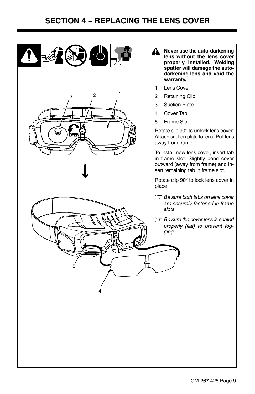<span id="page-10-0"></span>



- 1 Lens Cover
- 2 Retaining Clip
- 3 Suction Plate
- 4 Cover Tab
- 5 Frame Slot

Rotate clip 90° to unlock lens cover. Attach suction plate to lens. Pull lens away from frame.

To install new lens cover, insert tab in frame slot. Slightly bend cover outward (away from frame) and insert remaining tab in frame slot.

Rotate clip 90° to lock lens cover in place.

- *Be sure both tabs on lens cover are securely fastened in frame slots.*
- *Be sure the cover lens is seated properly (flat) to prevent fogging.*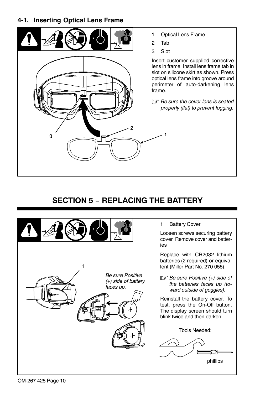#### <span id="page-11-0"></span>**4-1. Inserting Optical Lens Frame**



- 1 Optical Lens Frame
- 2 Tab
- 3 Slot

1

Insert customer supplied corrective lens in frame. Install lens frame tab in slot on silicone skirt as shown. Press optical lens frame into groove around perimeter of auto-darkening lens frame.

- *Be sure the cover lens is seated properly (flat) to prevent fogging.*

## **SECTION 5 − REPLACING THE BATTERY**



1 Battery Cover

Loosen screws securing battery cover. Remove cover and batteries

Replace with CR2032 lithium batteries (2 required) or equivalent (Miller Part No. 270 055).

- *Be sure Positive (+) side of the batteries faces up (toward outside of goggles).*

Reinstall the battery cover. To test, press the On-Off button. The display screen should turn blink twice and then darken.

Tools Needed:

phillips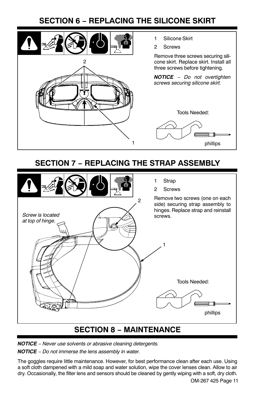## **SECTION 6 − REPLACING THE SILICONE SKIRT**

<span id="page-12-0"></span>

- 1 Silicone Skirt
- 2 Screws

Remove three screws securing silicone skirt. Replace skirt. Install all three screws before tightening.

*NOTICE* − *Do not overtighten screws securing silicone skirt.*



## **SECTION 7 − REPLACING THE STRAP ASSEMBLY**



## **SECTION 8 − MAINTENANCE**

*NOTICE* − *Never use solvents or abrasive cleaning detergents.*

*NOTICE* − *Do not immerse the lens assembly in water.*

The goggles require little maintenance. However, for best performance clean after each use. Using a soft cloth dampened with a mild soap and water solution, wipe the cover lenses clean. Allow to air dry. Occasionally, the filter lens and sensors should be cleaned by gently wiping with a soft, dry cloth.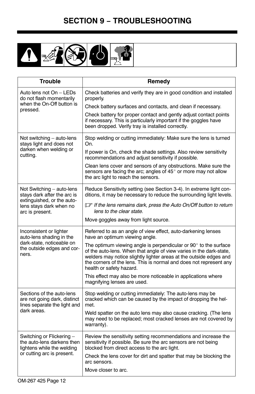<span id="page-13-0"></span>

| <b>Trouble</b>                                                                            | Remedy                                                                                                                                                                                                                                                                                                          |
|-------------------------------------------------------------------------------------------|-----------------------------------------------------------------------------------------------------------------------------------------------------------------------------------------------------------------------------------------------------------------------------------------------------------------|
| Auto lens not On – LEDs<br>do not flash momentarily                                       | Check batteries and verify they are in good condition and installed<br>properly.                                                                                                                                                                                                                                |
| when the On-Off button is<br>pressed.                                                     | Check battery surfaces and contacts, and clean if necessary.                                                                                                                                                                                                                                                    |
|                                                                                           | Check battery for proper contact and gently adjust contact points<br>if necessary. This is particularly important if the goggles have<br>been dropped. Verify tray is installed correctly.                                                                                                                      |
| Not switching - auto-lens<br>stays light and does not                                     | Stop welding or cutting immediately: Make sure the lens is turned<br>On.                                                                                                                                                                                                                                        |
| darken when welding or<br>cutting.                                                        | If power is On, check the shade settings. Also review sensitivity<br>recommendations and adjust sensitivity if possible.                                                                                                                                                                                        |
|                                                                                           | Clean lens cover and sensors of any obstructions. Make sure the<br>sensors are facing the arc; angles of 45° or more may not allow<br>the arc light to reach the sensors.                                                                                                                                       |
| Not Switching - auto-lens<br>stays dark after the arc is<br>extinguished, or the auto-    | Reduce Sensitivity setting (see Section 3-4). In extreme light con-<br>ditions, it may be necessary to reduce the surrounding light levels.                                                                                                                                                                     |
| lens stays dark when no<br>arc is present.                                                | If If the lens remains dark, press the Auto On/Off button to return<br>lens to the clear state.                                                                                                                                                                                                                 |
|                                                                                           | Move goggles away from light source.                                                                                                                                                                                                                                                                            |
| Inconsistent or lighter<br>auto-lens shading in the                                       | Referred to as an angle of view effect, auto-darkening lenses<br>have an optimum viewing angle.                                                                                                                                                                                                                 |
| dark-state, noticeable on<br>the outside edges and cor-<br>ners.                          | The optimum viewing angle is perpendicular or 90° to the surface<br>of the auto-lens. When that angle of view varies in the dark-state,<br>welders may notice slightly lighter areas at the outside edges and<br>the corners of the lens. This is normal and does not represent any<br>health or safety hazard. |
|                                                                                           | This effect may also be more noticeable in applications where<br>magnifying lenses are used.                                                                                                                                                                                                                    |
| Sections of the auto-lens<br>are not going dark, distinct<br>lines separate the light and | Stop welding or cutting immediately: The auto-lens may be<br>cracked which can be caused by the impact of dropping the hel-<br>met.                                                                                                                                                                             |
| dark areas.                                                                               | Weld spatter on the auto lens may also cause cracking. (The lens<br>may need to be replaced; most cracked lenses are not covered by<br>warranty).                                                                                                                                                               |
| Switching or Flickering -<br>the auto-lens darkens then<br>lightens while the welding     | Review the sensitivity setting recommendations and increase the<br>sensitivity if possible. Be sure the arc sensors are not being<br>blocked from direct access to the arc light.                                                                                                                               |
| or cutting arc is present.                                                                | Check the lens cover for dirt and spatter that may be blocking the<br>arc sensors.                                                                                                                                                                                                                              |
|                                                                                           | Move closer to arc.                                                                                                                                                                                                                                                                                             |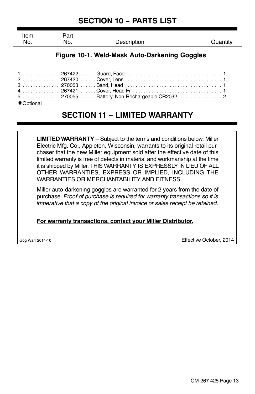## **SECTION 10 − PARTS LIST**

<span id="page-14-0"></span>

| Item<br>No. | Part<br>No. | Description | Quantity |
|-------------|-------------|-------------|----------|
|             |             |             |          |

#### **Figure 10-1. Weld-Mask Auto-Darkening Goggles**

| 5  270055 Battery, Non-Rechargeable CR2032  2 |  |
|-----------------------------------------------|--|
|                                               |  |

#### ◆ Optional

## **SECTION 11 − LIMITED WARRANTY**

**LIMITED WARRANTY** – Subject to the terms and conditions below. Miller Electric Mfg. Co., Appleton, Wisconsin, warrants to its original retail purchaser that the new Miller equipment sold after the effective date of this limited warranty is free of defects in material and workmanship at the time it is shipped by Miller. THIS WARRANTY IS EXPRESSLY IN LIEU OF ALL OTHER WARRANTIES, EXPRESS OR IMPLIED, INCLUDING THE WARRANTIES OR MERCHANTABILITY AND FITNESS.

Miller auto-darkening goggles are warranted for 2 years from the date of purchase. *Proof of purchase is required for warranty transactions so it is imperative that a copy of the original invoice or sales receipt be retained.*

**For warranty transactions, contact your Miller Distributor.**

Gog Warr 2014-10 Effective October, 2014